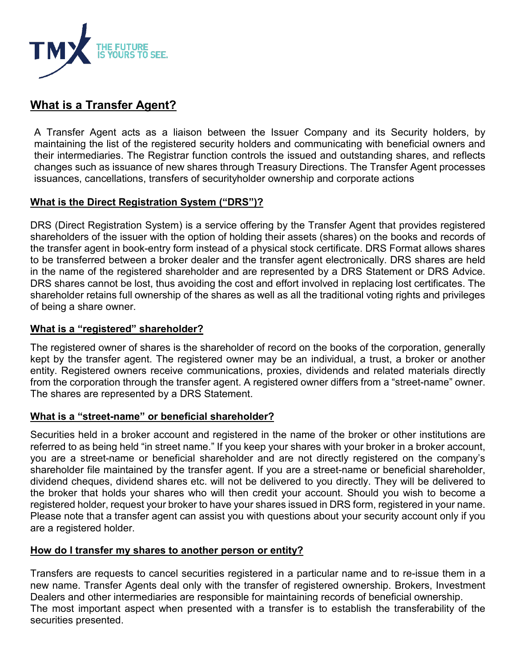

# **What is a Transfer Agent?**

A Transfer Agent acts as a liaison between the Issuer Company and its Security holders, by maintaining the list of the registered security holders and communicating with beneficial owners and their intermediaries. The Registrar function controls the issued and outstanding shares, and reflects changes such as issuance of new shares through Treasury Directions. The Transfer Agent processes issuances, cancellations, transfers of securityholder ownership and corporate actions

# **What is the Direct Registration System ("DRS")?**

DRS (Direct Registration System) is a service offering by the Transfer Agent that provides registered shareholders of the issuer with the option of holding their assets (shares) on the books and records of the transfer agent in book-entry form instead of a physical stock certificate. DRS Format allows shares to be transferred between a broker dealer and the transfer agent electronically. DRS shares are held in the name of the registered shareholder and are represented by a DRS Statement or DRS Advice. DRS shares cannot be lost, thus avoiding the cost and effort involved in replacing lost certificates. The shareholder retains full ownership of the shares as well as all the traditional voting rights and privileges of being a share owner.

### **What is a "registered" shareholder?**

The registered owner of shares is the shareholder of record on the books of the corporation, generally kept by the transfer agent. The registered owner may be an individual, a trust, a broker or another entity. Registered owners receive communications, proxies, dividends and related materials directly from the corporation through the transfer agent. A registered owner differs from a "street-name" owner. The shares are represented by a DRS Statement.

### **What is a "street-name" or beneficial shareholder?**

Securities held in a broker account and registered in the name of the broker or other institutions are referred to as being held "in street name." If you keep your shares with your broker in a broker account, you are a street-name or beneficial shareholder and are not directly registered on the company's shareholder file maintained by the transfer agent. If you are a street-name or beneficial shareholder, dividend cheques, dividend shares etc. will not be delivered to you directly. They will be delivered to the broker that holds your shares who will then credit your account. Should you wish to become a registered holder, request your broker to have your shares issued in DRS form, registered in your name. Please note that a transfer agent can assist you with questions about your security account only if you are a registered holder.

### **How do I transfer my shares to another person or entity?**

Transfers are requests to cancel securities registered in a particular name and to re-issue them in a new name. Transfer Agents deal only with the transfer of registered ownership. Brokers, Investment Dealers and other intermediaries are responsible for maintaining records of beneficial ownership. The most important aspect when presented with a transfer is to establish the transferability of the securities presented.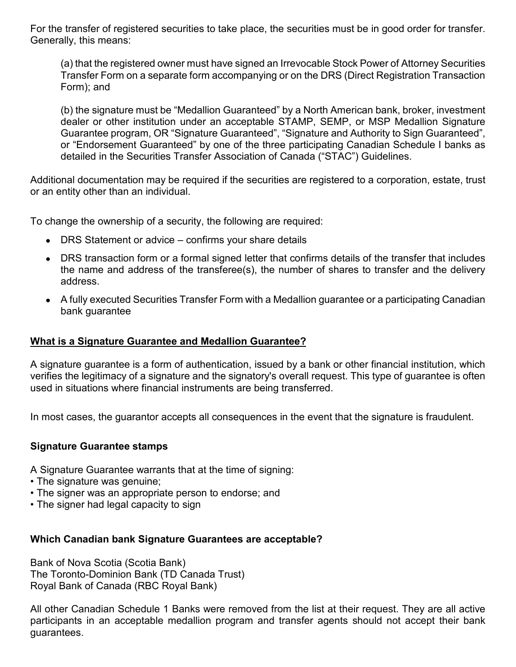For the transfer of registered securities to take place, the securities must be in good order for transfer. Generally, this means:

(a) that the registered owner must have signed an Irrevocable Stock Power of Attorney Securities Transfer Form on a separate form accompanying or on the DRS (Direct Registration Transaction Form); and

(b) the signature must be "Medallion Guaranteed" by a North American bank, broker, investment dealer or other institution under an acceptable STAMP, SEMP, or MSP Medallion Signature Guarantee program, OR "Signature Guaranteed", "Signature and Authority to Sign Guaranteed", or "Endorsement Guaranteed" by one of the three participating Canadian Schedule I banks as detailed in the Securities Transfer Association of Canada ("STAC") Guidelines.

Additional documentation may be required if the securities are registered to a corporation, estate, trust or an entity other than an individual.

To change the ownership of a security, the following are required:

- DRS Statement or advice confirms your share details
- DRS transaction form or a formal signed letter that confirms details of the transfer that includes the name and address of the transferee(s), the number of shares to transfer and the delivery address.
- A fully executed Securities Transfer Form with a Medallion guarantee or a participating Canadian bank guarantee

### **What is a Signature Guarantee and Medallion Guarantee?**

A signature guarantee is a form of authentication, issued by a bank or other [financial institution,](https://www.investopedia.com/terms/f/financialinstitution.asp) which verifies the legitimacy of a signature and the signatory's overall request. This type of guarantee is often used in situations where [financial instruments](https://www.investopedia.com/terms/f/financialinstrument.asp) are being transferred.

In most cases, the [guarantor](https://www.investopedia.com/terms/g/guarantor.asp) accepts all consequences in the event that the signature is fraudulent.

### **Signature Guarantee stamps**

A Signature Guarantee warrants that at the time of signing:

- The signature was genuine;
- The signer was an appropriate person to endorse; and
- The signer had legal capacity to sign

### **Which Canadian bank Signature Guarantees are acceptable?**

Bank of Nova Scotia (Scotia Bank) The Toronto-Dominion Bank (TD Canada Trust) Royal Bank of Canada (RBC Royal Bank)

All other Canadian Schedule 1 Banks were removed from the list at their request. They are all active participants in an acceptable medallion program and transfer agents should not accept their bank guarantees.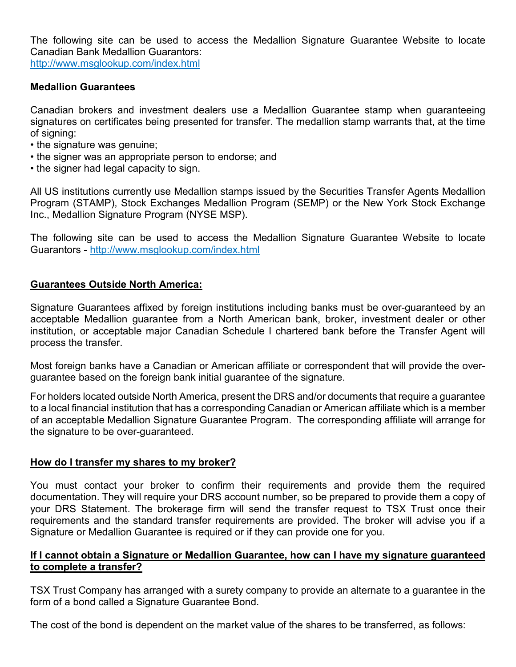The following site can be used to access the Medallion Signature Guarantee Website to locate Canadian Bank Medallion Guarantors: <http://www.msglookup.com/index.html>

#### **Medallion Guarantees**

Canadian brokers and investment dealers use a Medallion Guarantee stamp when guaranteeing signatures on certificates being presented for transfer. The medallion stamp warrants that, at the time of signing:

- the signature was genuine;
- the signer was an appropriate person to endorse; and
- the signer had legal capacity to sign.

All US institutions currently use Medallion stamps issued by the Securities Transfer Agents Medallion Program (STAMP), Stock Exchanges Medallion Program (SEMP) or the New York Stock Exchange Inc., Medallion Signature Program (NYSE MSP).

The following site can be used to access the Medallion Signature Guarantee Website to locate Guarantors - <http://www.msglookup.com/index.html>

#### **Guarantees Outside North America:**

Signature Guarantees affixed by foreign institutions including banks must be over-guaranteed by an acceptable Medallion guarantee from a North American bank, broker, investment dealer or other institution, or acceptable major Canadian Schedule I chartered bank before the Transfer Agent will process the transfer.

Most foreign banks have a Canadian or American affiliate or correspondent that will provide the overguarantee based on the foreign bank initial guarantee of the signature.

For holders located outside North America, present the DRS and/or documents that require a guarantee to a local financial institution that has a corresponding Canadian or American affiliate which is a member of an acceptable Medallion Signature Guarantee Program. The corresponding affiliate will arrange for the signature to be over-guaranteed.

### **How do I transfer my shares to my broker?**

You must contact your broker to confirm their requirements and provide them the required documentation. They will require your DRS account number, so be prepared to provide them a copy of your DRS Statement. The brokerage firm will send the transfer request to TSX Trust once their requirements and the standard transfer requirements are provided. The broker will advise you if a Signature or Medallion Guarantee is required or if they can provide one for you.

#### **If I cannot obtain a Signature or Medallion Guarantee, how can I have my signature guaranteed to complete a transfer?**

TSX Trust Company has arranged with a surety company to provide an alternate to a guarantee in the form of a bond called a Signature Guarantee Bond.

The cost of the bond is dependent on the market value of the shares to be transferred, as follows: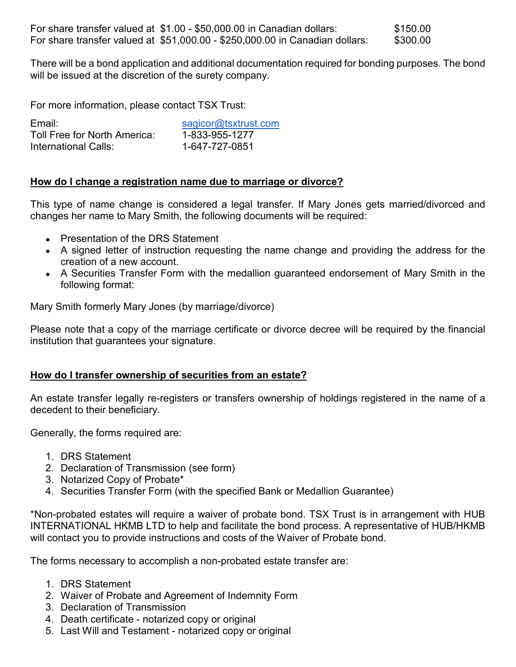There will be a bond application and additional documentation required for bonding purposes. The bond will be issued at the discretion of the surety company.

For more information, please contact TSX Trust:

| Email:                       | sagicor@tsxtrust.com |
|------------------------------|----------------------|
| Toll Free for North America: | 1-833-955-1277       |
| International Calls:         | 1-647-727-0851       |

### **How do I change a registration name due to marriage or divorce?**

This type of name change is considered a legal transfer. If Mary Jones gets married/divorced and changes her name to Mary Smith, the following documents will be required:

- Presentation of the DRS Statement
- A signed letter of instruction requesting the name change and providing the address for the creation of a new account.
- A Securities Transfer Form with the medallion guaranteed endorsement of Mary Smith in the following format:

Mary Smith formerly Mary Jones (by marriage/divorce)

Please note that a copy of the marriage certificate or divorce decree will be required by the financial institution that guarantees your signature.

# **How do I transfer ownership of securities from an estate?**

An estate transfer legally re-registers or transfers ownership of holdings registered in the name of a decedent to their beneficiary.

Generally, the forms required are:

- 1. DRS Statement
- 2. Declaration of Transmission (see form)
- 3. Notarized Copy of Probate\*
- 4. Securities Transfer Form (with the specified Bank or Medallion Guarantee)

\*Non-probated estates will require a waiver of probate bond. TSX Trust is in arrangement with HUB INTERNATIONAL HKMB LTD to help and facilitate the bond process. A representative of HUB/HKMB will contact you to provide instructions and costs of the Waiver of Probate bond.

The forms necessary to accomplish a non-probated estate transfer are:

- 1. DRS Statement
- 2. Waiver of Probate and Agreement of Indemnity Form
- 3. Declaration of Transmission
- 4. Death certificate notarized copy or original
- 5. Last Will and Testament notarized copy or original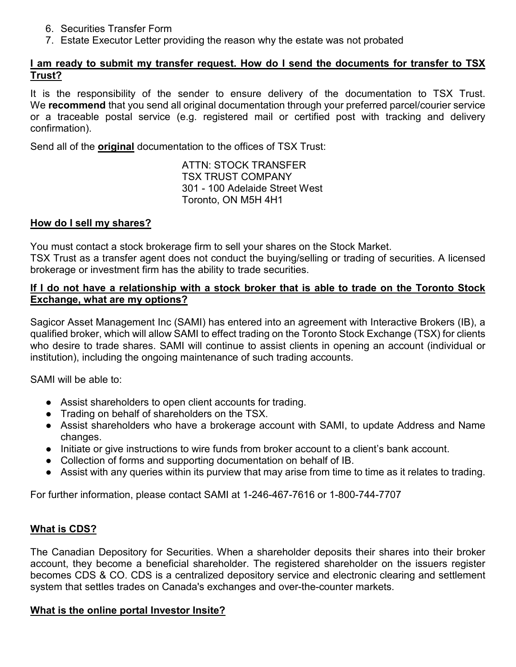- 6. Securities Transfer Form
- 7. Estate Executor Letter providing the reason why the estate was not probated

### **I am ready to submit my transfer request. How do I send the documents for transfer to TSX Trust?**

It is the responsibility of the sender to ensure delivery of the documentation to TSX Trust. We **recommend** that you send all original documentation through your preferred parcel/courier service or a traceable postal service (e.g. registered mail or certified post with tracking and delivery confirmation).

Send all of the **original** documentation to the offices of TSX Trust:

ATTN: STOCK TRANSFER TSX TRUST COMPANY 301 - 100 Adelaide Street West Toronto, ON M5H 4H1

# **How do I sell my shares?**

You must contact a stock brokerage firm to sell your shares on the Stock Market.

TSX Trust as a transfer agent does not conduct the buying/selling or trading of securities. A licensed brokerage or investment firm has the ability to trade securities.

### **If I do not have a relationship with a stock broker that is able to trade on the Toronto Stock Exchange, what are my options?**

Sagicor Asset Management Inc (SAMI) has entered into an agreement with Interactive Brokers (IB), a qualified broker, which will allow SAMI to effect trading on the Toronto Stock Exchange (TSX) for clients who desire to trade shares. SAMI will continue to assist clients in opening an account (individual or institution), including the ongoing maintenance of such trading accounts.

SAMI will be able to:

- Assist shareholders to open client accounts for trading.
- Trading on behalf of shareholders on the TSX.
- Assist shareholders who have a brokerage account with SAMI, to update Address and Name changes.
- Initiate or give instructions to wire funds from broker account to a client's bank account.
- Collection of forms and supporting documentation on behalf of IB.
- Assist with any queries within its purview that may arise from time to time as it relates to trading.

For further information, please contact SAMI at 1-246-467-7616 or 1-800-744-7707

# **What is CDS?**

The Canadian Depository for Securities. When a shareholder deposits their shares into their broker account, they become a beneficial shareholder. The registered shareholder on the issuers register becomes CDS & CO. CDS is a centralized depository service and electronic clearing and settlement system that settles trades on Canada's exchanges and over-the-counter markets.

### **What is the online portal Investor Insite?**